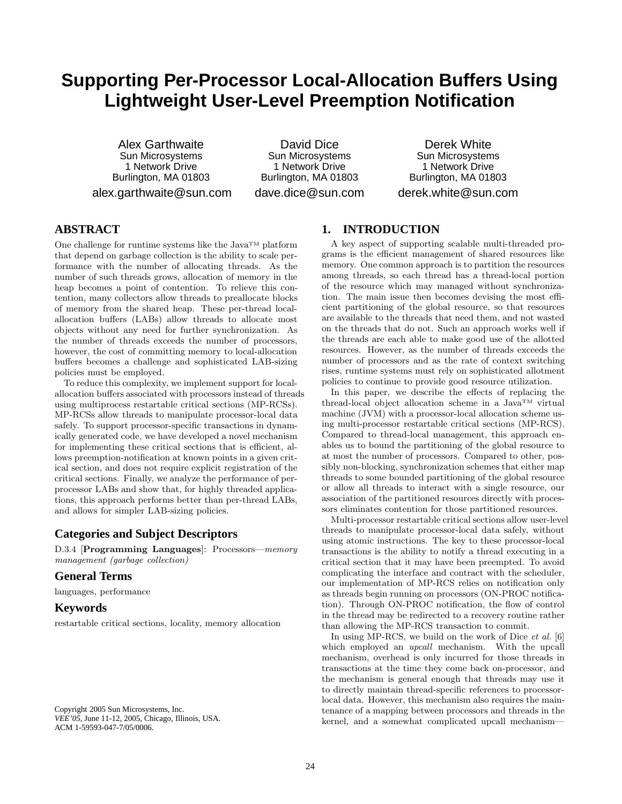# **Supporting Per-Processor Local-Allocation Buffers Using Lightweight User-Level Preemption Notification**

Alex Garthwaite Sun Microsystems 1 Network Drive Burlington, MA 01803 alex.garthwaite@sun.com

David Dice Sun Microsystems 1 Network Drive Burlington, MA 01803 dave.dice@sun.com

Derek White Sun Microsystems 1 Network Drive Burlington, MA 01803 derek.white@sun.com

## **ABSTRACT**

One challenge for runtime systems like the Java<sup>TM</sup> platform that depend on garbage collection is the ability to scale performance with the number of allocating threads. As the number of such threads grows, allocation of memory in the heap becomes a point of contention. To relieve this contention, many collectors allow threads to preallocate blocks of memory from the shared heap. These per-thread localallocation buffers (LABs) allow threads to allocate most objects without any need for further synchronization. As the number of threads exceeds the number of processors, however, the cost of committing memory to local-allocation buffers becomes a challenge and sophisticated LAB-sizing policies must be employed.

To reduce this complexity, we implement support for localallocation buffers associated with processors instead of threads using multiprocess restartable critical sections (MP-RCSs). MP-RCSs allow threads to manipulate processor-local data safely. To support processor-specific transactions in dynamically generated code, we have developed a novel mechanism for implementing these critical sections that is efficient, allows preemption-notification at known points in a given critical section, and does not require explicit registration of the critical sections. Finally, we analyze the performance of perprocessor LABs and show that, for highly threaded applications, this approach performs better than per-thread LABs, and allows for simpler LAB-sizing policies.

#### **Categories and Subject Descriptors**

D.3.4 [**Programming Languages**]: Processors—memory management (garbage collection)

## **General Terms**

languages, performance

#### **Keywords**

restartable critical sections, locality, memory allocation

Copyright 2005 Sun Microsystems, Inc. *VEE'05,* June 11-12, 2005, Chicago, Illinois, USA. ACM 1-59593-047-7/05/0006.

## **1. INTRODUCTION**

A key aspect of supporting scalable multi-threaded programs is the efficient management of shared resources like memory. One common approach is to partition the resources among threads, so each thread has a thread-local portion of the resource which may managed without synchronization. The main issue then becomes devising the most efficient partitioning of the global resource, so that resources are available to the threads that need them, and not wasted on the threads that do not. Such an approach works well if the threads are each able to make good use of the allotted resources. However, as the number of threads exceeds the number of processors and as the rate of context switching rises, runtime systems must rely on sophisticated allotment policies to continue to provide good resource utilization.

In this paper, we describe the effects of replacing the thread-local object allocation scheme in a Java<sup>TM</sup> virtual machine (JVM) with a processor-local allocation scheme using multi-processor restartable critical sections (MP-RCS). Compared to thread-local management, this approach enables us to bound the partitioning of the global resource to at most the number of processors. Compared to other, possibly non-blocking, synchronization schemes that either map threads to some bounded partitioning of the global resource or allow all threads to interact with a single resource, our association of the partitioned resources directly with processors eliminates contention for those partitioned resources.

Multi-processor restartable critical sections allow user-level threads to manipulate processor-local data safely, without using atomic instructions. The key to these processor-local transactions is the ability to notify a thread executing in a critical section that it may have been preempted. To avoid complicating the interface and contract with the scheduler, our implementation of MP-RCS relies on notification only as threads begin running on processors (ON-PROC notification). Through ON-PROC notification, the flow of control in the thread may be redirected to a recovery routine rather than allowing the MP-RCS transaction to commit.

In using MP-RCS, we build on the work of Dice et al. [6] which employed an upcall mechanism. With the upcall mechanism, overhead is only incurred for those threads in transactions at the time they come back on-processor, and the mechanism is general enough that threads may use it to directly maintain thread-specific references to processorlocal data. However, this mechanism also requires the maintenance of a mapping between processors and threads in the kernel, and a somewhat complicated upcall mechanism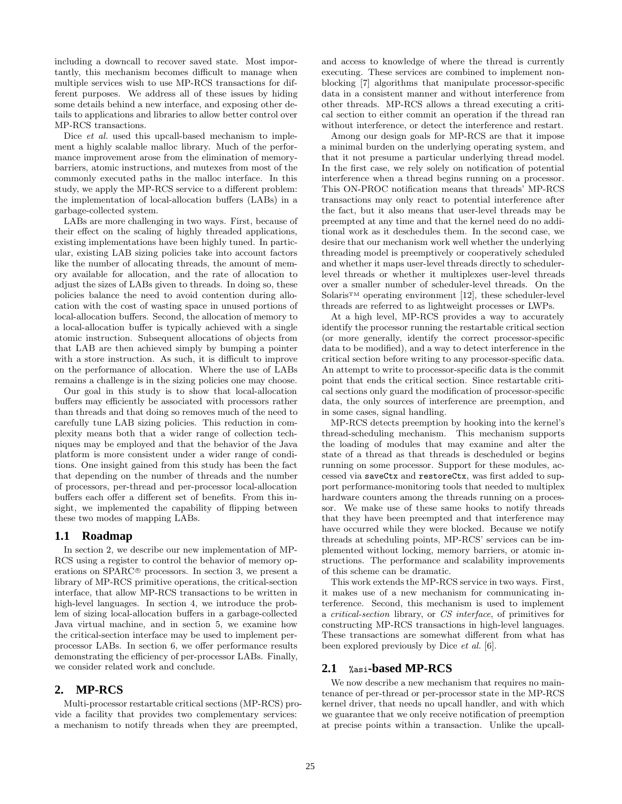including a downcall to recover saved state. Most importantly, this mechanism becomes difficult to manage when multiple services wish to use MP-RCS transactions for different purposes. We address all of these issues by hiding some details behind a new interface, and exposing other details to applications and libraries to allow better control over MP-RCS transactions.

Dice *et al.* used this upcall-based mechanism to implement a highly scalable malloc library. Much of the performance improvement arose from the elimination of memorybarriers, atomic instructions, and mutexes from most of the commonly executed paths in the malloc interface. In this study, we apply the MP-RCS service to a different problem: the implementation of local-allocation buffers (LABs) in a garbage-collected system.

LABs are more challenging in two ways. First, because of their effect on the scaling of highly threaded applications, existing implementations have been highly tuned. In particular, existing LAB sizing policies take into account factors like the number of allocating threads, the amount of memory available for allocation, and the rate of allocation to adjust the sizes of LABs given to threads. In doing so, these policies balance the need to avoid contention during allocation with the cost of wasting space in unused portions of local-allocation buffers. Second, the allocation of memory to a local-allocation buffer is typically achieved with a single atomic instruction. Subsequent allocations of objects from that LAB are then achieved simply by bumping a pointer with a store instruction. As such, it is difficult to improve on the performance of allocation. Where the use of LABs remains a challenge is in the sizing policies one may choose.

Our goal in this study is to show that local-allocation buffers may efficiently be associated with processors rather than threads and that doing so removes much of the need to carefully tune LAB sizing policies. This reduction in complexity means both that a wider range of collection techniques may be employed and that the behavior of the Java platform is more consistent under a wider range of conditions. One insight gained from this study has been the fact that depending on the number of threads and the number of processors, per-thread and per-processor local-allocation buffers each offer a different set of benefits. From this insight, we implemented the capability of flipping between these two modes of mapping LABs.

#### **1.1 Roadmap**

In section 2, we describe our new implementation of MP-RCS using a register to control the behavior of memory operations on SPARC<sup>®</sup> processors. In section 3, we present a library of MP-RCS primitive operations, the critical-section interface, that allow MP-RCS transactions to be written in high-level languages. In section 4, we introduce the problem of sizing local-allocation buffers in a garbage-collected Java virtual machine, and in section 5, we examine how the critical-section interface may be used to implement perprocessor LABs. In section 6, we offer performance results demonstrating the efficiency of per-processor LABs. Finally, we consider related work and conclude.

#### **2. MP-RCS**

Multi-processor restartable critical sections (MP-RCS) provide a facility that provides two complementary services: a mechanism to notify threads when they are preempted,

and access to knowledge of where the thread is currently executing. These services are combined to implement nonblocking [7] algorithms that manipulate processor-specific data in a consistent manner and without interference from other threads. MP-RCS allows a thread executing a critical section to either commit an operation if the thread ran without interference, or detect the interference and restart.

Among our design goals for MP-RCS are that it impose a minimal burden on the underlying operating system, and that it not presume a particular underlying thread model. In the first case, we rely solely on notification of potential interference when a thread begins running on a processor. This ON-PROC notification means that threads' MP-RCS transactions may only react to potential interference after the fact, but it also means that user-level threads may be preempted at any time and that the kernel need do no additional work as it deschedules them. In the second case, we desire that our mechanism work well whether the underlying threading model is preemptively or cooperatively scheduled and whether it maps user-level threads directly to schedulerlevel threads or whether it multiplexes user-level threads over a smaller number of scheduler-level threads. On the Solaris<sup>TM</sup> operating environment [12], these scheduler-level threads are referred to as lightweight processes or LWPs.

At a high level, MP-RCS provides a way to accurately identify the processor running the restartable critical section (or more generally, identify the correct processor-specific data to be modified), and a way to detect interference in the critical section before writing to any processor-specific data. An attempt to write to processor-specific data is the commit point that ends the critical section. Since restartable critical sections only guard the modification of processor-specific data, the only sources of interference are preemption, and in some cases, signal handling.

MP-RCS detects preemption by hooking into the kernel's thread-scheduling mechanism. This mechanism supports the loading of modules that may examine and alter the state of a thread as that threads is descheduled or begins running on some processor. Support for these modules, accessed via saveCtx and restoreCtx, was first added to support performance-monitoring tools that needed to multiplex hardware counters among the threads running on a processor. We make use of these same hooks to notify threads that they have been preempted and that interference may have occurred while they were blocked. Because we notify threads at scheduling points, MP-RCS' services can be implemented without locking, memory barriers, or atomic instructions. The performance and scalability improvements of this scheme can be dramatic.

This work extends the MP-RCS service in two ways. First, it makes use of a new mechanism for communicating interference. Second, this mechanism is used to implement a critical-section library, or CS interface, of primitives for constructing MP-RCS transactions in high-level languages. These transactions are somewhat different from what has been explored previously by Dice et al. [6].

## **2.1** %asi**-based MP-RCS**

We now describe a new mechanism that requires no maintenance of per-thread or per-processor state in the MP-RCS kernel driver, that needs no upcall handler, and with which we guarantee that we only receive notification of preemption at precise points within a transaction. Unlike the upcall-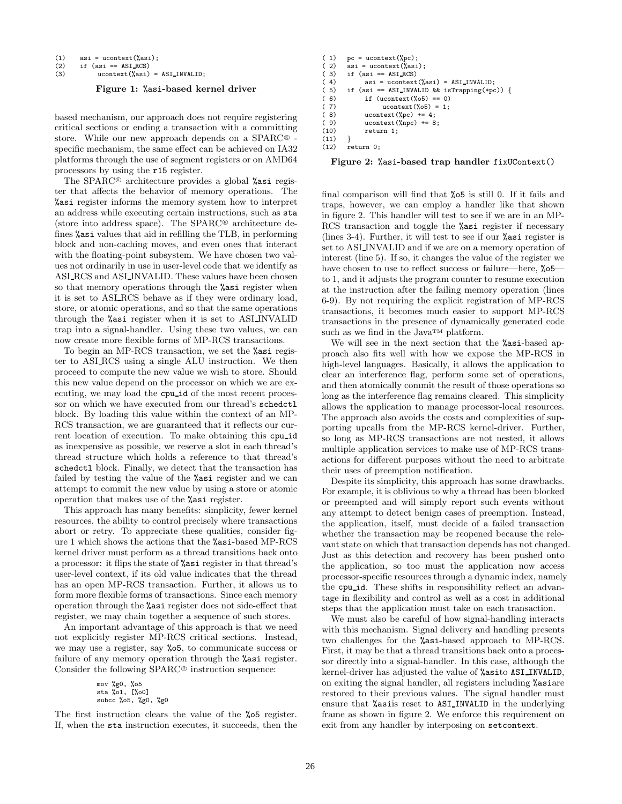- $if$  (asi ==  $AST\_RCS$ )
- (3) ucontext(%asi) = ASI\_INVALID;

#### **Figure 1:** %asi**-based kernel driver**

based mechanism, our approach does not require registering critical sections or ending a transaction with a committing store. While our new approach depends on a SPARC<sup>®</sup> specific mechanism, the same effect can be achieved on IA32 platforms through the use of segment registers or on AMD64 processors by using the r15 register.

The SPARC<sup>®</sup> architecture provides a global  $%$ asi register that affects the behavior of memory operations. The %asi register informs the memory system how to interpret an address while executing certain instructions, such as sta (store into address space). The SPARC $\textcircled{\textdegree}$  architecture defines %asi values that aid in refilling the TLB, in performing block and non-caching moves, and even ones that interact with the floating-point subsystem. We have chosen two values not ordinarily in use in user-level code that we identify as ASI RCS and ASI INVALID. These values have been chosen so that memory operations through the **"asi** register when it is set to ASI RCS behave as if they were ordinary load, store, or atomic operations, and so that the same operations through the %asi register when it is set to ASI INVALID trap into a signal-handler. Using these two values, we can now create more flexible forms of MP-RCS transactions.

To begin an MP-RCS transaction, we set the %asi register to ASI RCS using a single ALU instruction. We then proceed to compute the new value we wish to store. Should this new value depend on the processor on which we are executing, we may load the cpu id of the most recent processor on which we have executed from our thread's schedctl block. By loading this value within the context of an MP-RCS transaction, we are guaranteed that it reflects our current location of execution. To make obtaining this cpu id as inexpensive as possible, we reserve a slot in each thread's thread structure which holds a reference to that thread's schedctl block. Finally, we detect that the transaction has failed by testing the value of the %asi register and we can attempt to commit the new value by using a store or atomic operation that makes use of the %asi register.

This approach has many benefits: simplicity, fewer kernel resources, the ability to control precisely where transactions abort or retry. To appreciate these qualities, consider figure 1 which shows the actions that the %asi-based MP-RCS kernel driver must perform as a thread transitions back onto a processor: it flips the state of %asi register in that thread's user-level context, if its old value indicates that the thread has an open MP-RCS transaction. Further, it allows us to form more flexible forms of transactions. Since each memory operation through the %asi register does not side-effect that register, we may chain together a sequence of such stores.

An important advantage of this approach is that we need not explicitly register MP-RCS critical sections. Instead, we may use a register, say %o5, to communicate success or failure of any memory operation through the **%asi** register. Consider the following SPARC<sup>®</sup> instruction sequence:

> mov %g0, %o5 sta %o1, [%o0] subcc %o5, %g0, %g0

The first instruction clears the value of the %o5 register. If, when the sta instruction executes, it succeeds, then the

- ( 1)  $pc = ucontext(\%pc);$ <br>( 2)  $asi = ucontext(\%asi)$ ( 2)  $\text{asi} = \text{ucontext}(\text{Nasi});$ <br>( 3) if (asi == ASI\_RCS) ( 3) if (asi ==  $AST\_RCS$ )<br>( 4) asi = ucontext  $asi = ucontext(\%asi) = ASIINVALID;$ ( 5) if (asi == ASI\_INVALID && isTrapping(\*pc)) {<br>( 6) if (ucontext(%o5) == 0) ( 6) if  $(ucontext(\% \circ 5) == 0)$ <br>( 7)  $ucontext(\% \circ 5) = 1;$ ( 7)  $\text{ucontext}(\text{\%o5}) = 1;$ <br>( 8)  $\text{ucontext}(\text{\%pc}) \neq 4;$ ( 8)  $\text{ucontext}(\text{\%pc}) \neq 4;$ <br>( 9)  $\text{ucontext}(\text{\%mc}) \neq 8$  $ucontext(\mathcal{N}_{\text{npc}})$  += 8; (10) return 1;  $(11)$  }<br>(12) r
	- return 0;

**Figure 2:** %asi**-based trap handler** fixUContext()

final comparison will find that %o5 is still 0. If it fails and traps, however, we can employ a handler like that shown in figure 2. This handler will test to see if we are in an MP-RCS transaction and toggle the %asi register if necessary (lines 3-4). Further, it will test to see if our %asi register is set to ASI INVALID and if we are on a memory operation of interest (line 5). If so, it changes the value of the register we have chosen to use to reflect success or failure—here, %05to 1, and it adjusts the program counter to resume execution at the instruction after the failing memory operation (lines 6-9). By not requiring the explicit registration of MP-RCS transactions, it becomes much easier to support MP-RCS transactions in the presence of dynamically generated code such as we find in the Java<sup>TM</sup> platform.

We will see in the next section that the **%asi-based ap**proach also fits well with how we expose the MP-RCS in high-level languages. Basically, it allows the application to clear an interference flag, perform some set of operations, and then atomically commit the result of those operations so long as the interference flag remains cleared. This simplicity allows the application to manage processor-local resources. The approach also avoids the costs and complexities of supporting upcalls from the MP-RCS kernel-driver. Further, so long as MP-RCS transactions are not nested, it allows multiple application services to make use of MP-RCS transactions for different purposes without the need to arbitrate their uses of preemption notification.

Despite its simplicity, this approach has some drawbacks. For example, it is oblivious to why a thread has been blocked or preempted and will simply report such events without any attempt to detect benign cases of preemption. Instead, the application, itself, must decide of a failed transaction whether the transaction may be reopened because the relevant state on which that transaction depends has not changed. Just as this detection and recovery has been pushed onto the application, so too must the application now access processor-specific resources through a dynamic index, namely the cpu id. These shifts in responsibility reflect an advantage in flexibility and control as well as a cost in additional steps that the application must take on each transaction.

We must also be careful of how signal-handling interacts with this mechanism. Signal delivery and handling presents two challenges for the %asi-based approach to MP-RCS. First, it may be that a thread transitions back onto a processor directly into a signal-handler. In this case, although the kernel-driver has adjusted the value of %asito ASI INVALID, on exiting the signal handler, all registers including %asiare restored to their previous values. The signal handler must ensure that %asiis reset to ASI INVALID in the underlying frame as shown in figure 2. We enforce this requirement on exit from any handler by interposing on setcontext.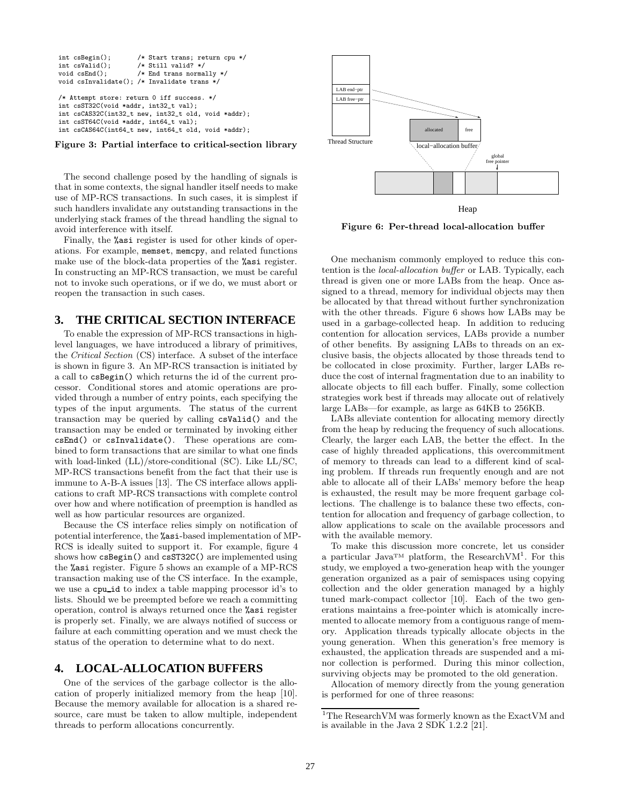```
int csBegin(); /* Start trans; return cpu */<br>int csValid(): /* Still valid? */
                      /* Still valid? */
void csEnd(); /* End trans normally */
void csInvalidate(); /* Invalidate trans */
/* Attempt store: return 0 iff success. */
int csST32C(void *addr, int32_t val);
int csCAS32C(int32_t new, int32_t old, void *addr);
int csST64C(void *addr, int64_t val);
int csCAS64C(int64_t new, int64_t old, void *addr);
```
**Figure 3: Partial interface to critical-section library**

The second challenge posed by the handling of signals is that in some contexts, the signal handler itself needs to make use of MP-RCS transactions. In such cases, it is simplest if such handlers invalidate any outstanding transactions in the underlying stack frames of the thread handling the signal to avoid interference with itself.

Finally, the %asi register is used for other kinds of operations. For example, memset, memcpy, and related functions make use of the block-data properties of the %asi register. In constructing an MP-RCS transaction, we must be careful not to invoke such operations, or if we do, we must abort or reopen the transaction in such cases.

## **3. THE CRITICAL SECTION INTERFACE**

To enable the expression of MP-RCS transactions in highlevel languages, we have introduced a library of primitives, the Critical Section (CS) interface. A subset of the interface is shown in figure 3. An MP-RCS transaction is initiated by a call to csBegin() which returns the id of the current processor. Conditional stores and atomic operations are provided through a number of entry points, each specifying the types of the input arguments. The status of the current transaction may be queried by calling csValid() and the transaction may be ended or terminated by invoking either csEnd() or csInvalidate(). These operations are combined to form transactions that are similar to what one finds with load-linked (LL)/store-conditional (SC). Like LL/SC, MP-RCS transactions benefit from the fact that their use is immune to A-B-A issues [13]. The CS interface allows applications to craft MP-RCS transactions with complete control over how and where notification of preemption is handled as well as how particular resources are organized.

Because the CS interface relies simply on notification of potential interference, the %asi-based implementation of MP-RCS is ideally suited to support it. For example, figure 4 shows how csBegin() and csST32C() are implemented using the %asi register. Figure 5 shows an example of a MP-RCS transaction making use of the CS interface. In the example, we use a cpu id to index a table mapping processor id's to lists. Should we be preempted before we reach a committing operation, control is always returned once the %asi register is properly set. Finally, we are always notified of success or failure at each committing operation and we must check the status of the operation to determine what to do next.

#### **4. LOCAL-ALLOCATION BUFFERS**

One of the services of the garbage collector is the allocation of properly initialized memory from the heap [10]. Because the memory available for allocation is a shared resource, care must be taken to allow multiple, independent threads to perform allocations concurrently.



**Figure 6: Per-thread local-allocation buffer**

One mechanism commonly employed to reduce this contention is the local-allocation buffer or LAB. Typically, each thread is given one or more LABs from the heap. Once assigned to a thread, memory for individual objects may then be allocated by that thread without further synchronization with the other threads. Figure 6 shows how LABs may be used in a garbage-collected heap. In addition to reducing contention for allocation services, LABs provide a number of other benefits. By assigning LABs to threads on an exclusive basis, the objects allocated by those threads tend to be collocated in close proximity. Further, larger LABs reduce the cost of internal fragmentation due to an inability to allocate objects to fill each buffer. Finally, some collection strategies work best if threads may allocate out of relatively large LABs—for example, as large as 64KB to 256KB.

LABs alleviate contention for allocating memory directly from the heap by reducing the frequency of such allocations. Clearly, the larger each LAB, the better the effect. In the case of highly threaded applications, this overcommitment of memory to threads can lead to a different kind of scaling problem. If threads run frequently enough and are not able to allocate all of their LABs' memory before the heap is exhausted, the result may be more frequent garbage collections. The challenge is to balance these two effects, contention for allocation and frequency of garbage collection, to allow applications to scale on the available processors and with the available memory.

To make this discussion more concrete, let us consider a particular Java<sup>TM</sup> platform, the ResearchVM<sup>1</sup>. For this study, we employed a two-generation heap with the younger generation organized as a pair of semispaces using copying collection and the older generation managed by a highly tuned mark-compact collector [10]. Each of the two generations maintains a free-pointer which is atomically incremented to allocate memory from a contiguous range of memory. Application threads typically allocate objects in the young generation. When this generation's free memory is exhausted, the application threads are suspended and a minor collection is performed. During this minor collection, surviving objects may be promoted to the old generation.

Allocation of memory directly from the young generation is performed for one of three reasons:

 $\rm ^1The$  ResearchVM was formerly known as the ExactVM and is available in the Java 2 SDK 1.2.2 [21].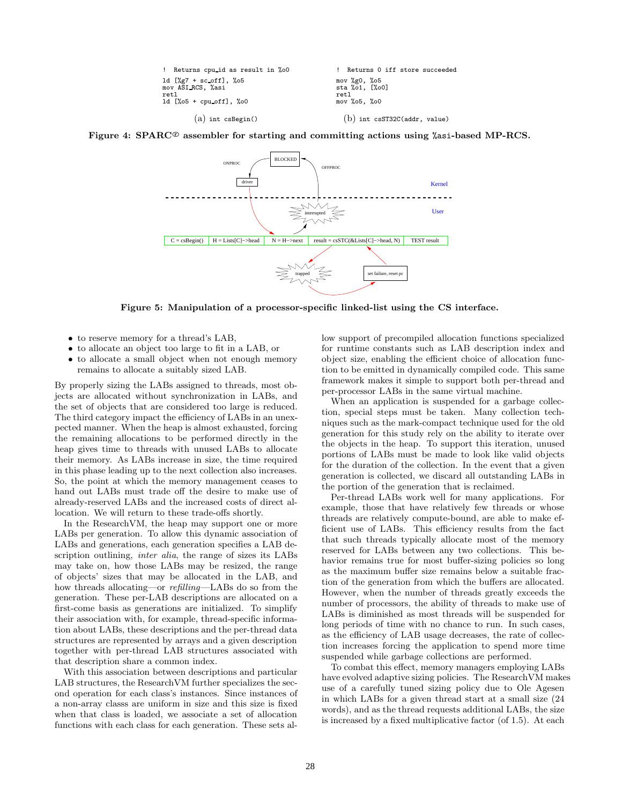| ! Returns cpu id as result in %00                   | Returns 0 iff store succeeded<br>υ.    |
|-----------------------------------------------------|----------------------------------------|
| ld [%g7 + sc_off], %o5<br>mov ASI RCS, %asi<br>retl | mov %g0, %o5<br>sta %01, [%00]<br>retl |
| 1d $[\%$ 05 + cpu_off], $\%$ 00                     | mov %05, %00                           |
| $(a)$ int csBegin()                                 | $(b)$ int csST32C(addr, value)         |

**Figure 4: SPARC****<sup>r</sup> assembler for starting and committing actions using** %asi**-based MP-RCS.**



**Figure 5: Manipulation of a processor-specific linked-list using the CS interface.**

- to reserve memory for a thread's LAB,
- to allocate an object too large to fit in a LAB, or
- to allocate a small object when not enough memory remains to allocate a suitably sized LAB.

By properly sizing the LABs assigned to threads, most objects are allocated without synchronization in LABs, and the set of objects that are considered too large is reduced. The third category impact the efficiency of LABs in an unexpected manner. When the heap is almost exhausted, forcing the remaining allocations to be performed directly in the heap gives time to threads with unused LABs to allocate their memory. As LABs increase in size, the time required in this phase leading up to the next collection also increases. So, the point at which the memory management ceases to hand out LABs must trade off the desire to make use of already-reserved LABs and the increased costs of direct allocation. We will return to these trade-offs shortly.

In the ResearchVM, the heap may support one or more LABs per generation. To allow this dynamic association of LABs and generations, each generation specifies a LAB description outlining, *inter alia*, the range of sizes its LABs may take on, how those LABs may be resized, the range of objects' sizes that may be allocated in the LAB, and how threads allocating—or *refilling*—LABs do so from the generation. These per-LAB descriptions are allocated on a first-come basis as generations are initialized. To simplify their association with, for example, thread-specific information about LABs, these descriptions and the per-thread data structures are represented by arrays and a given description together with per-thread LAB structures associated with that description share a common index.

With this association between descriptions and particular LAB structures, the ResearchVM further specializes the second operation for each class's instances. Since instances of a non-array classs are uniform in size and this size is fixed when that class is loaded, we associate a set of allocation functions with each class for each generation. These sets allow support of precompiled allocation functions specialized for runtime constants such as LAB description index and object size, enabling the efficient choice of allocation function to be emitted in dynamically compiled code. This same framework makes it simple to support both per-thread and per-processor LABs in the same virtual machine.

When an application is suspended for a garbage collection, special steps must be taken. Many collection techniques such as the mark-compact technique used for the old generation for this study rely on the ability to iterate over the objects in the heap. To support this iteration, unused portions of LABs must be made to look like valid objects for the duration of the collection. In the event that a given generation is collected, we discard all outstanding LABs in the portion of the generation that is reclaimed.

Per-thread LABs work well for many applications. For example, those that have relatively few threads or whose threads are relatively compute-bound, are able to make efficient use of LABs. This efficiency results from the fact that such threads typically allocate most of the memory reserved for LABs between any two collections. This behavior remains true for most buffer-sizing policies so long as the maximum buffer size remains below a suitable fraction of the generation from which the buffers are allocated. However, when the number of threads greatly exceeds the number of processors, the ability of threads to make use of LABs is diminished as most threads will be suspended for long periods of time with no chance to run. In such cases, as the efficiency of LAB usage decreases, the rate of collection increases forcing the application to spend more time suspended while garbage collections are performed.

To combat this effect, memory managers employing LABs have evolved adaptive sizing policies. The ResearchVM makes use of a carefully tuned sizing policy due to Ole Agesen in which LABs for a given thread start at a small size (24 words), and as the thread requests additional LABs, the size is increased by a fixed multiplicative factor (of 1.5). At each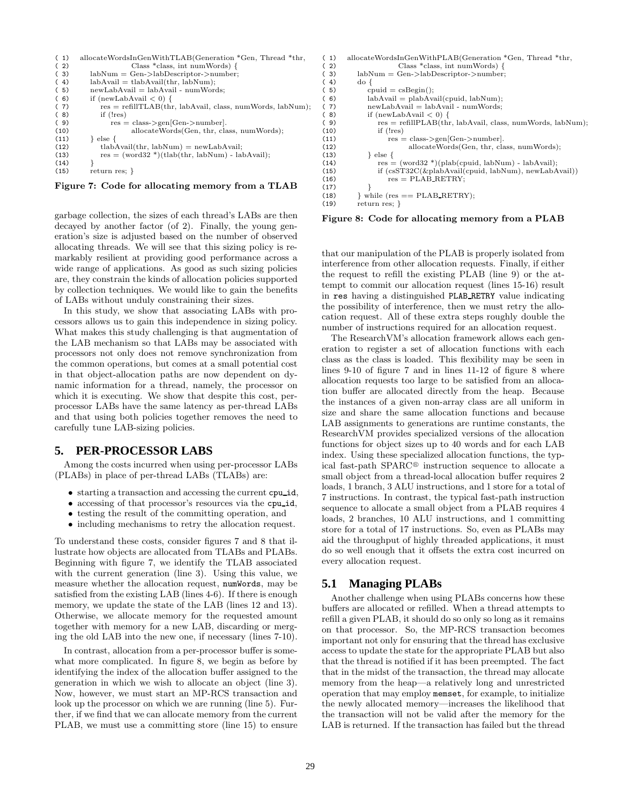| allocateWordsInGenWithTLAB(Generation *Gen, Thread *thr,    |
|-------------------------------------------------------------|
| Class *class, int numWords) {                               |
| $labNum = Gen > labDescription > number$ ;                  |
| $labAvail = tlabAvail(thr, labNum);$                        |
| newLabAvail = labAvail - numWords;                          |
| if (newLabAvail $< 0$ ) {                                   |
| $res = refillTLAB(thr, labAvail, class, numWords, labNum);$ |
| if $(lres)$                                                 |
| $res = class \gt{gen[Gen\_number]}.$                        |
| allocateWords(Gen, thr, class, numWords);                   |
| $\left\{$ else $\left\{ \right\}$                           |
| $tlabAvail(thr, labNum) = newLabAvail;$                     |
| $res = (word32*)(tlab(thr, labNum) - labAvail);$            |
| ł                                                           |
| return res; $\}$                                            |
|                                                             |

**Figure 7: Code for allocating memory from a TLAB**

garbage collection, the sizes of each thread's LABs are then decayed by another factor (of 2). Finally, the young generation's size is adjusted based on the number of observed allocating threads. We will see that this sizing policy is remarkably resilient at providing good performance across a wide range of applications. As good as such sizing policies are, they constrain the kinds of allocation policies supported by collection techniques. We would like to gain the benefits of LABs without unduly constraining their sizes.

In this study, we show that associating LABs with processors allows us to gain this independence in sizing policy. What makes this study challenging is that augmentation of the LAB mechanism so that LABs may be associated with processors not only does not remove synchronization from the common operations, but comes at a small potential cost in that object-allocation paths are now dependent on dynamic information for a thread, namely, the processor on which it is executing. We show that despite this cost, perprocessor LABs have the same latency as per-thread LABs and that using both policies together removes the need to carefully tune LAB-sizing policies.

## **5. PER-PROCESSOR LABS**

Among the costs incurred when using per-processor LABs (PLABs) in place of per-thread LABs (TLABs) are:

- starting a transaction and accessing the current cpu id,
- accessing of that processor's resources via the cpu id,
- testing the result of the committing operation, and
- including mechanisms to retry the allocation request.

To understand these costs, consider figures 7 and 8 that illustrate how objects are allocated from TLABs and PLABs. Beginning with figure 7, we identify the TLAB associated with the current generation (line 3). Using this value, we measure whether the allocation request, numWords, may be satisfied from the existing LAB (lines 4-6). If there is enough memory, we update the state of the LAB (lines 12 and 13). Otherwise, we allocate memory for the requested amount together with memory for a new LAB, discarding or merging the old LAB into the new one, if necessary (lines 7-10).

In contrast, allocation from a per-processor buffer is somewhat more complicated. In figure 8, we begin as before by identifying the index of the allocation buffer assigned to the generation in which we wish to allocate an object (line 3). Now, however, we must start an MP-RCS transaction and look up the processor on which we are running (line 5). Further, if we find that we can allocate memory from the current PLAB, we must use a committing store (line 15) to ensure

| (1)<br>(2) | allocateWordsInGenWithPLAB(Generation *Gen, Thread *thr,<br>Class *class, int numWords) { |
|------------|-------------------------------------------------------------------------------------------|
| (3)        | $labNum = Gen->labDescription->number;$                                                   |
| (4)        | do {                                                                                      |
| (5)        | $c$ puid = $cs$ Begin();                                                                  |
| (6)        | $labAvail = plabAvail(cpuid, labNum);$                                                    |
| (7)        | $newLabAvailable = labAvailable = numWords;$                                              |
| (8)        | if (newLabAvail $< 0$ ) {                                                                 |
| (9)        | $res = refillPLAB(thr, labAvail, class, numWords, labNum);$                               |
| (10)       | if $(!res)$                                                                               |
| (11)       | $res = class\text{-}\text{gen}$ [Gen- $\text{--}\text{number}$ ].                         |
| (12)       | allocateWords(Gen, thr, class, numWords);                                                 |
| (13)       | $\}$ else $\{$                                                                            |
| (14)       | $res = (word32*)(plab(cpuid, labNum) - labAvail);$                                        |
| (15)       | if $(csST32C(\&display{plabAvail(cpuid, labNum)}, newLabAvail))$                          |
| (16)       | $res = PLAB$ RETRY;                                                                       |
| (17)       |                                                                                           |
| (18)       | $\}$ while (res $==$ PLAB RETRY);                                                         |
| (19)       | return res; $\}$                                                                          |

**Figure 8: Code for allocating memory from a PLAB**

that our manipulation of the PLAB is properly isolated from interference from other allocation requests. Finally, if either the request to refill the existing PLAB (line 9) or the attempt to commit our allocation request (lines 15-16) result in res having a distinguished PLAB RETRY value indicating the possibility of interference, then we must retry the allocation request. All of these extra steps roughly double the number of instructions required for an allocation request.

The ResearchVM's allocation framework allows each generation to register a set of allocation functions with each class as the class is loaded. This flexibility may be seen in lines 9-10 of figure 7 and in lines 11-12 of figure 8 where allocation requests too large to be satisfied from an allocation buffer are allocated directly from the heap. Because the instances of a given non-array class are all uniform in size and share the same allocation functions and because LAB assignments to generations are runtime constants, the ResearchVM provides specialized versions of the allocation functions for object sizes up to 40 words and for each LAB index. Using these specialized allocation functions, the typical fast-path SPARC<sup>®</sup> instruction sequence to allocate a small object from a thread-local allocation buffer requires 2 loads, 1 branch, 3 ALU instructions, and 1 store for a total of 7 instructions. In contrast, the typical fast-path instruction sequence to allocate a small object from a PLAB requires 4 loads, 2 branches, 10 ALU instructions, and 1 committing store for a total of 17 instructions. So, even as PLABs may aid the throughput of highly threaded applications, it must do so well enough that it offsets the extra cost incurred on every allocation request.

## **5.1 Managing PLABs**

Another challenge when using PLABs concerns how these buffers are allocated or refilled. When a thread attempts to refill a given PLAB, it should do so only so long as it remains on that processor. So, the MP-RCS transaction becomes important not only for ensuring that the thread has exclusive access to update the state for the appropriate PLAB but also that the thread is notified if it has been preempted. The fact that in the midst of the transaction, the thread may allocate memory from the heap—a relatively long and unrestricted operation that may employ memset, for example, to initialize the newly allocated memory—increases the likelihood that the transaction will not be valid after the memory for the LAB is returned. If the transaction has failed but the thread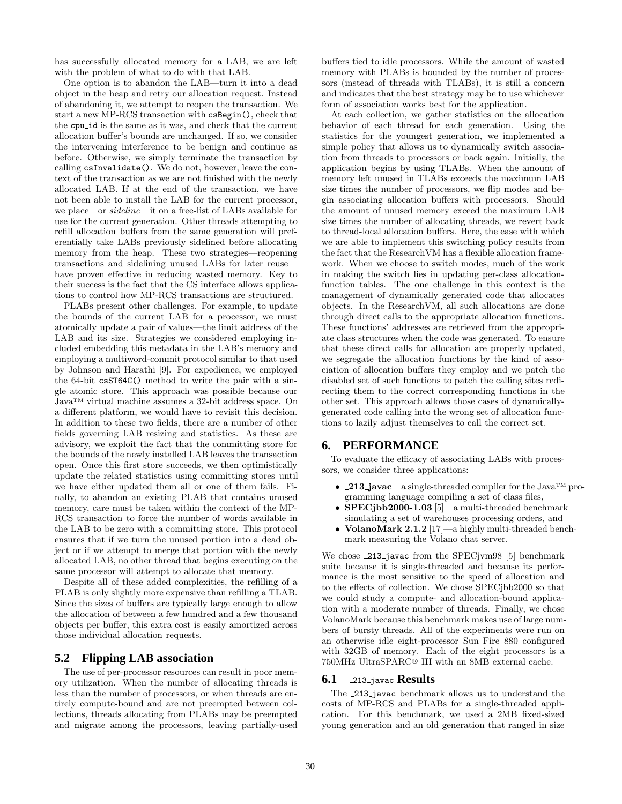has successfully allocated memory for a LAB, we are left with the problem of what to do with that LAB.

One option is to abandon the LAB—turn it into a dead object in the heap and retry our allocation request. Instead of abandoning it, we attempt to reopen the transaction. We start a new MP-RCS transaction with csBegin(), check that the cpu id is the same as it was, and check that the current allocation buffer's bounds are unchanged. If so, we consider the intervening interference to be benign and continue as before. Otherwise, we simply terminate the transaction by calling csInvalidate(). We do not, however, leave the context of the transaction as we are not finished with the newly allocated LAB. If at the end of the transaction, we have not been able to install the LAB for the current processor, we place—or sideline—it on a free-list of LABs available for use for the current generation. Other threads attempting to refill allocation buffers from the same generation will preferentially take LABs previously sidelined before allocating memory from the heap. These two strategies—reopening transactions and sidelining unused LABs for later reuse have proven effective in reducing wasted memory. Key to their success is the fact that the CS interface allows applications to control how MP-RCS transactions are structured.

PLABs present other challenges. For example, to update the bounds of the current LAB for a processor, we must atomically update a pair of values—the limit address of the LAB and its size. Strategies we considered employing included embedding this metadata in the LAB's memory and employing a multiword-commit protocol similar to that used by Johnson and Harathi [9]. For expedience, we employed the 64-bit csST64C() method to write the pair with a single atomic store. This approach was possible because our JavaTM virtual machine assumes a 32-bit address space. On a different platform, we would have to revisit this decision. In addition to these two fields, there are a number of other fields governing LAB resizing and statistics. As these are advisory, we exploit the fact that the committing store for the bounds of the newly installed LAB leaves the transaction open. Once this first store succeeds, we then optimistically update the related statistics using committing stores until we have either updated them all or one of them fails. Finally, to abandon an existing PLAB that contains unused memory, care must be taken within the context of the MP-RCS transaction to force the number of words available in the LAB to be zero with a committing store. This protocol ensures that if we turn the unused portion into a dead object or if we attempt to merge that portion with the newly allocated LAB, no other thread that begins executing on the same processor will attempt to allocate that memory.

Despite all of these added complexities, the refilling of a PLAB is only slightly more expensive than refilling a TLAB. Since the sizes of buffers are typically large enough to allow the allocation of between a few hundred and a few thousand objects per buffer, this extra cost is easily amortized across those individual allocation requests.

#### **5.2 Flipping LAB association**

The use of per-processor resources can result in poor memory utilization. When the number of allocating threads is less than the number of processors, or when threads are entirely compute-bound and are not preempted between collections, threads allocating from PLABs may be preempted and migrate among the processors, leaving partially-used buffers tied to idle processors. While the amount of wasted memory with PLABs is bounded by the number of processors (instead of threads with TLABs), it is still a concern and indicates that the best strategy may be to use whichever form of association works best for the application.

At each collection, we gather statistics on the allocation behavior of each thread for each generation. Using the statistics for the youngest generation, we implemented a simple policy that allows us to dynamically switch association from threads to processors or back again. Initially, the application begins by using TLABs. When the amount of memory left unused in TLABs exceeds the maximum LAB size times the number of processors, we flip modes and begin associating allocation buffers with processors. Should the amount of unused memory exceed the maximum LAB size times the number of allocating threads, we revert back to thread-local allocation buffers. Here, the ease with which we are able to implement this switching policy results from the fact that the ResearchVM has a flexible allocation framework. When we choose to switch modes, much of the work in making the switch lies in updating per-class allocationfunction tables. The one challenge in this context is the management of dynamically generated code that allocates objects. In the ResearchVM, all such allocations are done through direct calls to the appropriate allocation functions. These functions' addresses are retrieved from the appropriate class structures when the code was generated. To ensure that these direct calls for allocation are properly updated, we segregate the allocation functions by the kind of association of allocation buffers they employ and we patch the disabled set of such functions to patch the calling sites redirecting them to the correct corresponding functions in the other set. This approach allows those cases of dynamicallygenerated code calling into the wrong set of allocation functions to lazily adjust themselves to call the correct set.

#### **6. PERFORMANCE**

To evaluate the efficacy of associating LABs with processors, we consider three applications:

- **213 javac**—a single-threaded compiler for the Java<sup>TM</sup> programming language compiling a set of class files,
- **SPECjbb2000-1.03** [5]—a multi-threaded benchmark simulating a set of warehouses processing orders, and
- **VolanoMark 2.1.2** [17]—a highly multi-threaded benchmark measuring the Volano chat server.

We chose 213 javac from the SPECjvm98 [5] benchmark suite because it is single-threaded and because its performance is the most sensitive to the speed of allocation and to the effects of collection. We chose SPECjbb2000 so that we could study a compute- and allocation-bound application with a moderate number of threads. Finally, we chose VolanoMark because this benchmark makes use of large numbers of bursty threads. All of the experiments were run on an otherwise idle eight-processor Sun Fire 880 configured with 32GB of memory. Each of the eight processors is a 750MHz UltraSPARC<sup>®</sup> III with an 8MB external cache.

#### **6.1** 213 javac **Results**

The 213 javac benchmark allows us to understand the costs of MP-RCS and PLABs for a single-threaded application. For this benchmark, we used a 2MB fixed-sized young generation and an old generation that ranged in size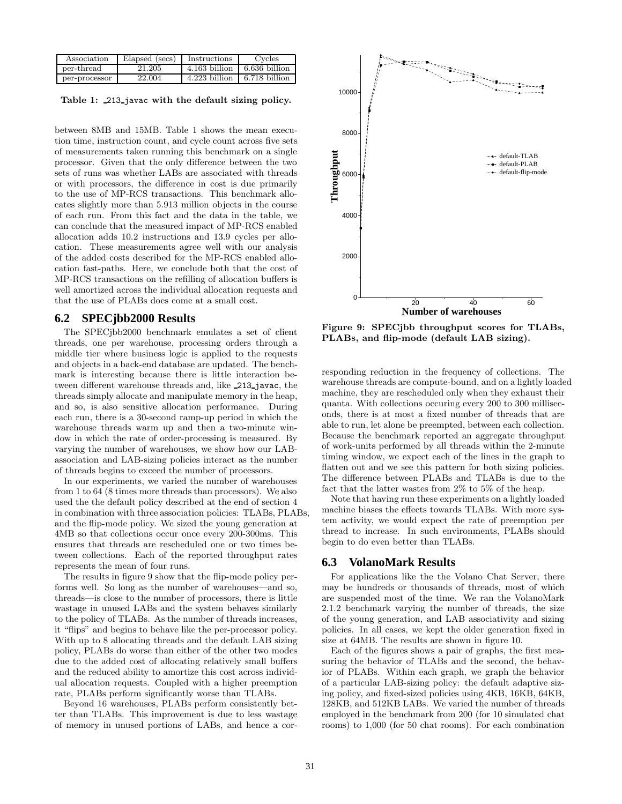| Association   | Elapsed (secs) | <i>Instructions</i> | Cycles          |
|---------------|----------------|---------------------|-----------------|
| per-thread    | 21.205         | 4.163 billion       | $6.636$ billion |
| per-processor | 22.004         | 4.223 billion       | $6.718$ billion |

**Table 1:** 213 javac **with the default sizing policy.**

between 8MB and 15MB. Table 1 shows the mean execution time, instruction count, and cycle count across five sets of measurements taken running this benchmark on a single processor. Given that the only difference between the two sets of runs was whether LABs are associated with threads or with processors, the difference in cost is due primarily to the use of MP-RCS transactions. This benchmark allocates slightly more than 5.913 million objects in the course of each run. From this fact and the data in the table, we can conclude that the measured impact of MP-RCS enabled allocation adds 10.2 instructions and 13.9 cycles per allocation. These measurements agree well with our analysis of the added costs described for the MP-RCS enabled allocation fast-paths. Here, we conclude both that the cost of MP-RCS transactions on the refilling of allocation buffers is well amortized across the individual allocation requests and that the use of PLABs does come at a small cost.

## **6.2 SPECjbb2000 Results**

The SPECjbb2000 benchmark emulates a set of client threads, one per warehouse, processing orders through a middle tier where business logic is applied to the requests and objects in a back-end database are updated. The benchmark is interesting because there is little interaction between different warehouse threads and, like 213 javac, the threads simply allocate and manipulate memory in the heap, and so, is also sensitive allocation performance. During each run, there is a 30-second ramp-up period in which the warehouse threads warm up and then a two-minute window in which the rate of order-processing is measured. By varying the number of warehouses, we show how our LABassociation and LAB-sizing policies interact as the number of threads begins to exceed the number of processors.

In our experiments, we varied the number of warehouses from 1 to 64 (8 times more threads than processors). We also used the the default policy described at the end of section 4 in combination with three association policies: TLABs, PLABs, and the flip-mode policy. We sized the young generation at 4MB so that collections occur once every 200-300ms. This ensures that threads are rescheduled one or two times between collections. Each of the reported throughput rates represents the mean of four runs.

The results in figure 9 show that the flip-mode policy performs well. So long as the number of warehouses—and so, threads—is close to the number of processors, there is little wastage in unused LABs and the system behaves similarly to the policy of TLABs. As the number of threads increases, it "flips" and begins to behave like the per-processor policy. With up to 8 allocating threads and the default LAB sizing policy, PLABs do worse than either of the other two modes due to the added cost of allocating relatively small buffers and the reduced ability to amortize this cost across individual allocation requests. Coupled with a higher preemption rate, PLABs perform significantly worse than TLABs.

Beyond 16 warehouses, PLABs perform consistently better than TLABs. This improvement is due to less wastage of memory in unused portions of LABs, and hence a cor-



**Figure 9: SPECjbb throughput scores for TLABs, PLABs, and flip-mode (default LAB sizing).**

responding reduction in the frequency of collections. The warehouse threads are compute-bound, and on a lightly loaded machine, they are rescheduled only when they exhaust their quanta. With collections occuring every 200 to 300 milliseconds, there is at most a fixed number of threads that are able to run, let alone be preempted, between each collection. Because the benchmark reported an aggregate throughput of work-units performed by all threads within the 2-minute timing window, we expect each of the lines in the graph to flatten out and we see this pattern for both sizing policies. The difference between PLABs and TLABs is due to the fact that the latter wastes from 2% to 5% of the heap.

Note that having run these experiments on a lightly loaded machine biases the effects towards TLABs. With more system activity, we would expect the rate of preemption per thread to increase. In such environments, PLABs should begin to do even better than TLABs.

#### **6.3 VolanoMark Results**

For applications like the the Volano Chat Server, there may be hundreds or thousands of threads, most of which are suspended most of the time. We ran the VolanoMark 2.1.2 benchmark varying the number of threads, the size of the young generation, and LAB associativity and sizing policies. In all cases, we kept the older generation fixed in size at 64MB. The results are shown in figure 10.

Each of the figures shows a pair of graphs, the first measuring the behavior of TLABs and the second, the behavior of PLABs. Within each graph, we graph the behavior of a particular LAB-sizing policy: the default adaptive sizing policy, and fixed-sized policies using 4KB, 16KB, 64KB, 128KB, and 512KB LABs. We varied the number of threads employed in the benchmark from 200 (for 10 simulated chat rooms) to 1,000 (for 50 chat rooms). For each combination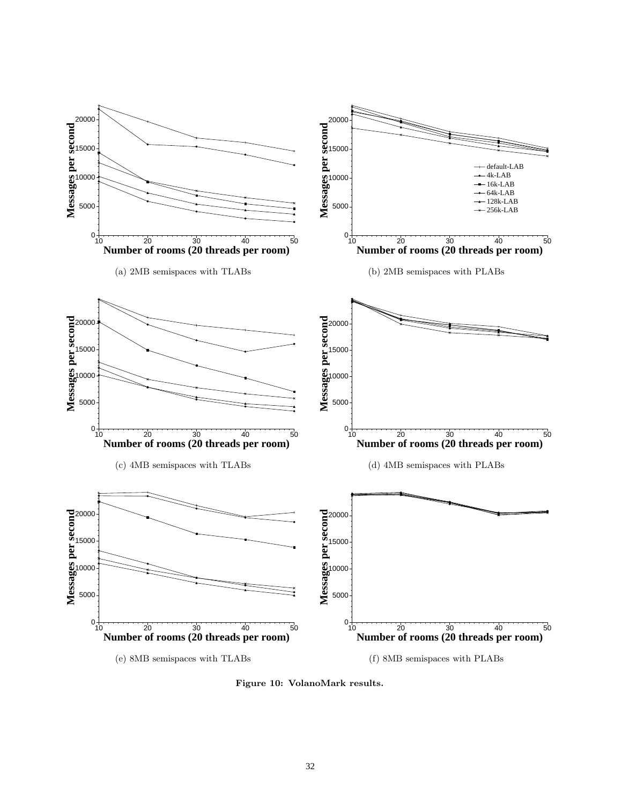

**Figure 10: VolanoMark results.**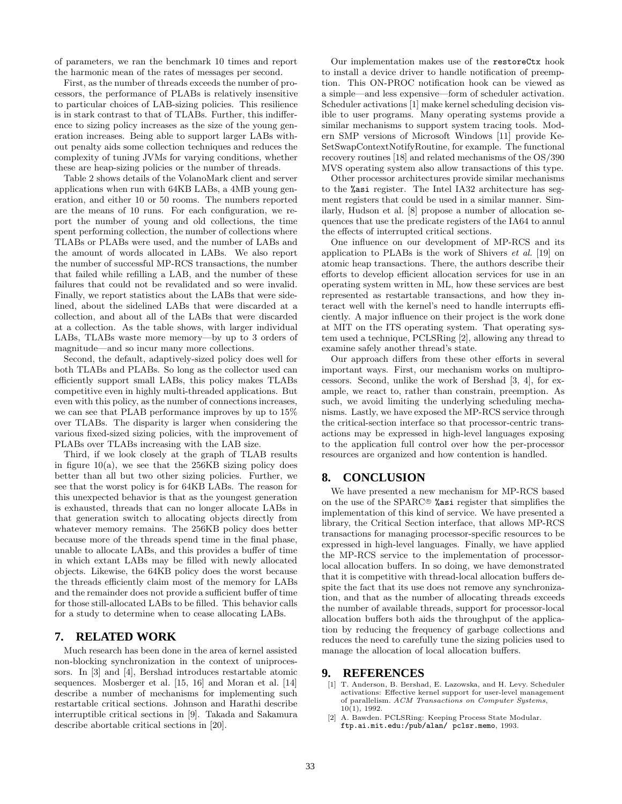of parameters, we ran the benchmark 10 times and report the harmonic mean of the rates of messages per second.

First, as the number of threads exceeds the number of processors, the performance of PLABs is relatively insensitive to particular choices of LAB-sizing policies. This resilience is in stark contrast to that of TLABs. Further, this indifference to sizing policy increases as the size of the young generation increases. Being able to support larger LABs without penalty aids some collection techniques and reduces the complexity of tuning JVMs for varying conditions, whether these are heap-sizing policies or the number of threads.

Table 2 shows details of the VolanoMark client and server applications when run with 64KB LABs, a 4MB young generation, and either 10 or 50 rooms. The numbers reported are the means of 10 runs. For each configuration, we report the number of young and old collections, the time spent performing collection, the number of collections where TLABs or PLABs were used, and the number of LABs and the amount of words allocated in LABs. We also report the number of successful MP-RCS transactions, the number that failed while refilling a LAB, and the number of these failures that could not be revalidated and so were invalid. Finally, we report statistics about the LABs that were sidelined, about the sidelined LABs that were discarded at a collection, and about all of the LABs that were discarded at a collection. As the table shows, with larger individual LABs, TLABs waste more memory—by up to 3 orders of magnitude—and so incur many more collections.

Second, the default, adaptively-sized policy does well for both TLABs and PLABs. So long as the collector used can efficiently support small LABs, this policy makes TLABs competitive even in highly multi-threaded applications. But even with this policy, as the number of connections increases, we can see that PLAB performance improves by up to 15% over TLABs. The disparity is larger when considering the various fixed-sized sizing policies, with the improvement of PLABs over TLABs increasing with the LAB size.

Third, if we look closely at the graph of TLAB results in figure  $10(a)$ , we see that the 256KB sizing policy does better than all but two other sizing policies. Further, we see that the worst policy is for 64KB LABs. The reason for this unexpected behavior is that as the youngest generation is exhausted, threads that can no longer allocate LABs in that generation switch to allocating objects directly from whatever memory remains. The 256KB policy does better because more of the threads spend time in the final phase, unable to allocate LABs, and this provides a buffer of time in which extant LABs may be filled with newly allocated objects. Likewise, the 64KB policy does the worst because the threads efficiently claim most of the memory for LABs and the remainder does not provide a sufficient buffer of time for those still-allocated LABs to be filled. This behavior calls for a study to determine when to cease allocating LABs.

## **7. RELATED WORK**

Much research has been done in the area of kernel assisted non-blocking synchronization in the context of uniprocessors. In [3] and [4], Bershad introduces restartable atomic sequences. Mosberger et al. [15, 16] and Moran et al. [14] describe a number of mechanisms for implementing such restartable critical sections. Johnson and Harathi describe interruptible critical sections in [9]. Takada and Sakamura describe abortable critical sections in [20].

Our implementation makes use of the restoreCtx hook to install a device driver to handle notification of preemption. This ON-PROC notification hook can be viewed as a simple—and less expensive—form of scheduler activation. Scheduler activations [1] make kernel scheduling decision visible to user programs. Many operating systems provide a similar mechanisms to support system tracing tools. Modern SMP versions of Microsoft Windows [11] provide Ke-SetSwapContextNotifyRoutine, for example. The functional recovery routines [18] and related mechanisms of the OS/390 MVS operating system also allow transactions of this type.

Other processor architectures provide similar mechanisms to the %asi register. The Intel IA32 architecture has segment registers that could be used in a similar manner. Similarly, Hudson et al. [8] propose a number of allocation sequences that use the predicate registers of the IA64 to annul the effects of interrupted critical sections.

One influence on our development of MP-RCS and its application to PLABs is the work of Shivers et al. [19] on atomic heap transactions. There, the authors describe their efforts to develop efficient allocation services for use in an operating system written in ML, how these services are best represented as restartable transactions, and how they interact well with the kernel's need to handle interrupts efficiently. A major influence on their project is the work done at MIT on the ITS operating system. That operating system used a technique, PCLSRing [2], allowing any thread to examine safely another thread's state.

Our approach differs from these other efforts in several important ways. First, our mechanism works on multiprocessors. Second, unlike the work of Bershad [3, 4], for example, we react to, rather than constrain, preemption. As such, we avoid limiting the underlying scheduling mechanisms. Lastly, we have exposed the MP-RCS service through the critical-section interface so that processor-centric transactions may be expressed in high-level languages exposing to the application full control over how the per-processor resources are organized and how contention is handled.

## **8. CONCLUSION**

We have presented a new mechanism for MP-RCS based on the use of the SPARC<sup>®</sup> %asi register that simplifies the implementation of this kind of service. We have presented a library, the Critical Section interface, that allows MP-RCS transactions for managing processor-specific resources to be expressed in high-level languages. Finally, we have applied the MP-RCS service to the implementation of processorlocal allocation buffers. In so doing, we have demonstrated that it is competitive with thread-local allocation buffers despite the fact that its use does not remove any synchronization, and that as the number of allocating threads exceeds the number of available threads, support for processor-local allocation buffers both aids the throughput of the application by reducing the frequency of garbage collections and reduces the need to carefully tune the sizing policies used to manage the allocation of local allocation buffers.

#### **9. REFERENCES**

- [1] T. Anderson, B. Bershad, E. Lazowska, and H. Levy. Scheduler activations: Effective kernel support for user-level management of parallelism. ACM Transactions on Computer Systems, 10(1), 1992.
- A. Bawden. PCLSRing: Keeping Process State Modular. ftp.ai.mit.edu:/pub/alan/ pclsr.memo, 1993.